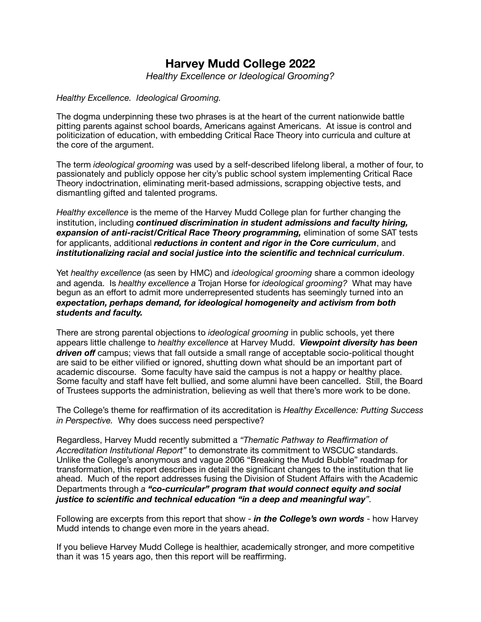# **Harvey Mudd College 2022**

*Healthy Excellence or Ideological Grooming?* 

#### *Healthy Excellence. Ideological Grooming.*

The dogma underpinning these two phrases is at the heart of the current nationwide battle pitting parents against school boards, Americans against Americans. At issue is control and politicization of education, with embedding Critical Race Theory into curricula and culture at the core of the argument.

The term *ideological grooming* was used by a self-described lifelong liberal, a mother of four, to passionately and publicly oppose her city's public school system implementing Critical Race Theory indoctrination, eliminating merit-based admissions, scrapping objective tests, and dismantling gifted and talented programs.

*Healthy excellence* is the meme of the Harvey Mudd College plan for further changing the institution, including *continued discrimination in student admissions and faculty hiring, expansion of anti-racist/Critical Race Theory programming,* elimination of some SAT tests for applicants, additional *reductions in content and rigor in the Core curriculum*, and *institutionalizing racial and social justice into the scientific and technical curriculum*.

Yet *healthy excellence* (as seen by HMC) and *ideological grooming* share a common ideology and agenda. Is *healthy excellence a* Trojan Horse for *ideological grooming?* What may have begun as an effort to admit more underrepresented students has seemingly turned into an *expectation, perhaps demand, for ideological homogeneity and activism from both students and faculty.* 

There are strong parental objections to *ideological grooming* in public schools, yet there appears little challenge to *healthy excellence* at Harvey Mudd. *Viewpoint diversity has been driven off* campus; views that fall outside a small range of acceptable socio-political thought are said to be either vilified or ignored, shutting down what should be an important part of academic discourse. Some faculty have said the campus is not a happy or healthy place. Some faculty and staff have felt bullied, and some alumni have been cancelled. Still, the Board of Trustees supports the administration, believing as well that there's more work to be done.

The College's theme for reaffirmation of its accreditation is *Healthy Excellence: Putting Success in Perspective.* Why does success need perspective?

Regardless, Harvey Mudd recently submitted a *"Thematic Pathway to Reaffirmation of Accreditation Institutional Report"* to demonstrate its commitment to WSCUC standards. Unlike the College's anonymous and vague 2006 "Breaking the Mudd Bubble" roadmap for transformation, this report describes in detail the significant changes to the institution that lie ahead. Much of the report addresses fusing the Division of Student Affairs with the Academic Departments through *a "co-curricular" program that would connect equity and social justice to scientific and technical education "in a deep and meaningful way".* 

Following are excerpts from this report that show - *in the College's own words* - how Harvey Mudd intends to change even more in the years ahead.

If you believe Harvey Mudd College is healthier, academically stronger, and more competitive than it was 15 years ago, then this report will be reaffirming.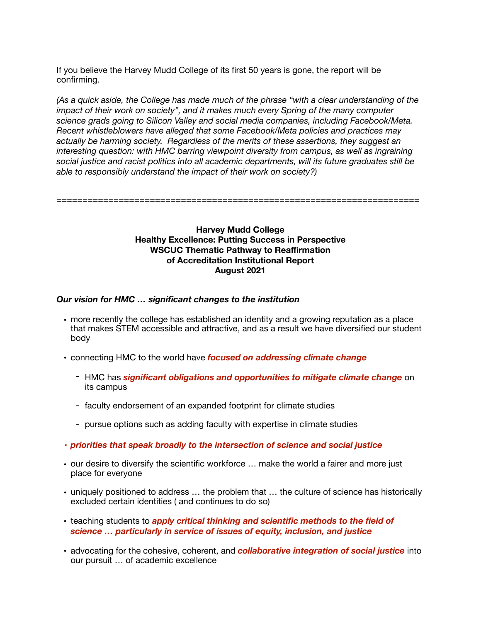If you believe the Harvey Mudd College of its first 50 years is gone, the report will be confirming.

*(As a quick aside, the College has made much of the phrase "with a clear understanding of the impact of their work on society", and it makes much every Spring of the many computer science grads going to Silicon Valley and social media companies, including Facebook/Meta. Recent whistleblowers have alleged that some Facebook/Meta policies and practices may actually be harming society. Regardless of the merits of these assertions, they suggest an interesting question: with HMC barring viewpoint diversity from campus, as well as ingraining social justice and racist politics into all academic departments, will its future graduates still be able to responsibly understand the impact of their work on society?)* 

======================================================================

## **Harvey Mudd College Healthy Excellence: Putting Success in Perspective WSCUC Thematic Pathway to Reaffirmation of Accreditation Institutional Report August 2021**

## *Our vision for HMC … significant changes to the institution*

- more recently the college has established an identity and a growing reputation as a place that makes STEM accessible and attractive, and as a result we have diversified our student body
- connecting HMC to the world have *focused on addressing climate change* 
	- HMC has *significant obligations and opportunities to mitigate climate change* on its campus
	- faculty endorsement of an expanded footprint for climate studies
	- pursue options such as adding faculty with expertise in climate studies
- *• priorities that speak broadly to the intersection of science and social justice*
- our desire to diversify the scientific workforce … make the world a fairer and more just place for everyone
- uniquely positioned to address … the problem that … the culture of science has historically excluded certain identities ( and continues to do so)
- teaching students to *apply critical thinking and scientific methods to the field of science … particularly in service of issues of equity, inclusion, and justice*
- advocating for the cohesive, coherent, and *collaborative integration of social justice* into our pursuit … of academic excellence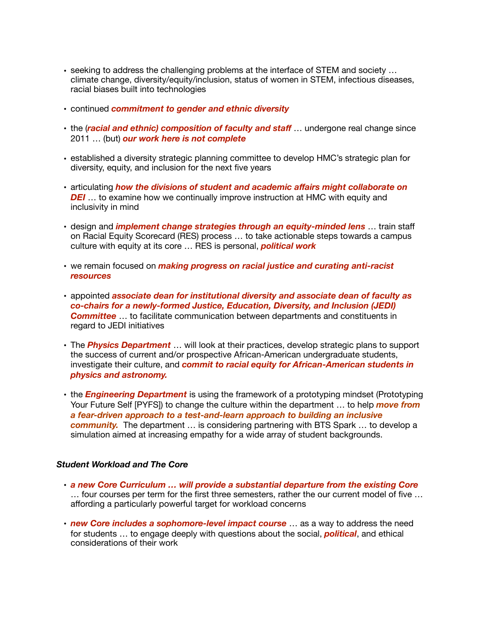- seeking to address the challenging problems at the interface of STEM and society … climate change, diversity/equity/inclusion, status of women in STEM, infectious diseases, racial biases built into technologies
- continued *commitment to gender and ethnic diversity*
- the (*racial and ethnic) composition of faculty and staf* … undergone real change since 2011 … (but) *our work here is not complete*
- established a diversity strategic planning committee to develop HMC's strategic plan for diversity, equity, and inclusion for the next five years
- articulating *how the divisions of student and academic affairs might collaborate on DEI* ... to examine how we continually improve instruction at HMC with equity and inclusivity in mind
- design and *implement change strategies through an equity-minded lens* … train staff on Racial Equity Scorecard (RES) process … to take actionable steps towards a campus culture with equity at its core … RES is personal, *political work*
- we remain focused on *making progress on racial justice and curating anti-racist resources*
- appointed *associate dean for institutional diversity and associate dean of faculty as co-chairs for a newly-formed Justice, Education, Diversity, and Inclusion (JEDI) Committee* … to facilitate communication between departments and constituents in regard to JEDI initiatives
- The *Physics Department* … will look at their practices, develop strategic plans to support the success of current and/or prospective African-American undergraduate students, investigate their culture, and *commit to racial equity for African-American students in physics and astronomy.*
- the *Engineering Department* is using the framework of a prototyping mindset (Prototyping Your Future Self [PYFS]) to change the culture within the department … to help *move from a fear-driven approach to a test-and-learn approach to building an inclusive community.* The department … is considering partnering with BTS Spark … to develop a simulation aimed at increasing empathy for a wide array of student backgrounds.

#### *Student Workload and The Core*

- *a new Core Curriculum … will provide a substantial departure from the existing Core* … four courses per term for the first three semesters, rather the our current model of five … affording a particularly powerful target for workload concerns
- *new Core includes a sophomore-level impact course* … as a way to address the need for students … to engage deeply with questions about the social, *political*, and ethical considerations of their work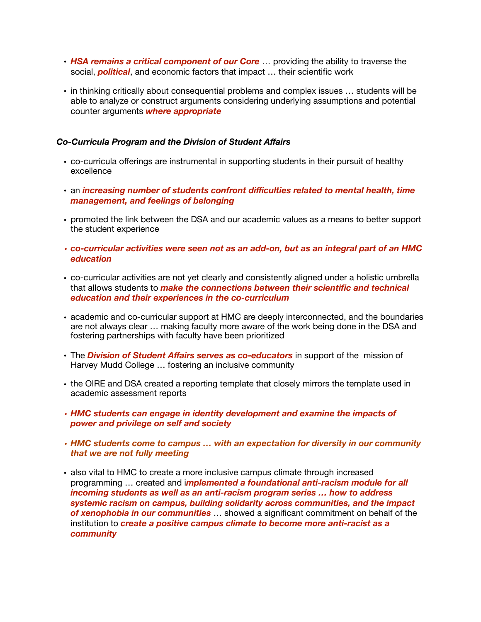- **HSA remains a critical component of our Core** ... providing the ability to traverse the social, *political*, and economic factors that impact … their scientific work
- in thinking critically about consequential problems and complex issues … students will be able to analyze or construct arguments considering underlying assumptions and potential counter arguments *where appropriate*

#### *Co-Curricula Program and the Division of Student Affairs*

- co-curricula offerings are instrumental in supporting students in their pursuit of healthy excellence
- an *increasing number of students confront difficulties related to mental health, time management, and feelings of belonging*
- promoted the link between the DSA and our academic values as a means to better support the student experience
- *• co-curricular activities were seen not as an add-on, but as an integral part of an HMC education*
- co-curricular activities are not yet clearly and consistently aligned under a holistic umbrella that allows students to *make the connections between their scientific and technical education and their experiences in the co-curriculum*
- academic and co-curricular support at HMC are deeply interconnected, and the boundaries are not always clear … making faculty more aware of the work being done in the DSA and fostering partnerships with faculty have been prioritized
- The *Division of Student Affairs serves as co-educators* in support of the mission of Harvey Mudd College … fostering an inclusive community
- the OIRE and DSA created a reporting template that closely mirrors the template used in academic assessment reports
- *• HMC students can engage in identity development and examine the impacts of power and privilege on self and society*
- *• HMC students come to campus … with an expectation for diversity in our community that we are not fully meeting*
- also vital to HMC to create a more inclusive campus climate through increased programming … created and i*mplemented a foundational anti-racism module for all incoming students as well as an anti-racism program series … how to address systemic racism on campus, building solidarity across communities, and the impact of xenophobia in our communities* … showed a significant commitment on behalf of the institution to *create a positive campus climate to become more anti-racist as a community*